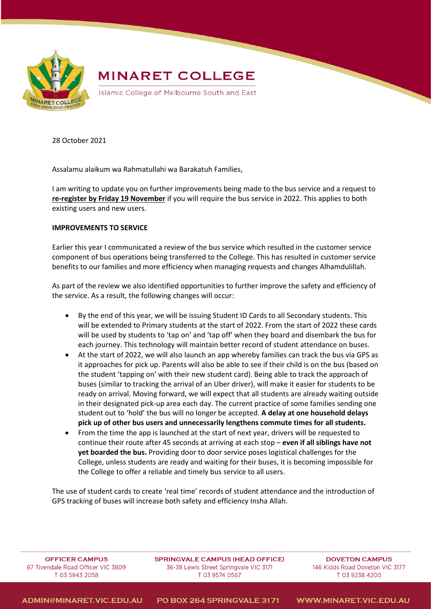

## **MINARET COLLEGE**

Islamic College of Melbourne South and East

28 October 2021

Assalamu alaikum wa Rahmatullahi wa Barakatuh Families,

I am writing to update you on further improvements being made to the bus service and a request to **re-register by Friday 19 November** if you will require the bus service in 2022. This applies to both existing users and new users.

## **IMPROVEMENTS TO SERVICE**

Earlier this year I communicated a review of the bus service which resulted in the customer service component of bus operations being transferred to the College. This has resulted in customer service benefits to our families and more efficiency when managing requests and changes Alhamdulillah.

As part of the review we also identified opportunities to further improve the safety and efficiency of the service. As a result, the following changes will occur:

- By the end of this year, we will be issuing Student ID Cards to all Secondary students. This will be extended to Primary students at the start of 2022. From the start of 2022 these cards will be used by students to 'tap on' and 'tap off' when they board and disembark the bus for each journey. This technology will maintain better record of student attendance on buses.
- At the start of 2022, we will also launch an app whereby families can track the bus via GPS as it approaches for pick up. Parents will also be able to see if their child is on the bus (based on the student 'tapping on' with their new student card). Being able to track the approach of buses (similar to tracking the arrival of an Uber driver), will make it easier for students to be ready on arrival. Moving forward, we will expect that all students are already waiting outside in their designated pick-up area each day. The current practice of some families sending one student out to 'hold' the bus will no longer be accepted. **A delay at one household delays pick up of other bus users and unnecessarily lengthens commute times for all students.**
- From the time the app is launched at the start of next year, drivers will be requested to continue their route after 45 seconds at arriving at each stop – **even if all siblings have not yet boarded the bus.** Providing door to door service poses logistical challenges for the College, unless students are ready and waiting for their buses, it is becoming impossible for the College to offer a reliable and timely bus service to all users.

The use of student cards to create 'real time' records of student attendance and the introduction of GPS tracking of buses will increase both safety and efficiency Insha Allah.

OFFICER CAMPUS 67 Tivendale Road Officer VIC 3809 T 03 5943 2058

**SPRINGVALE CAMPUS (HEAD OFFICE)** 36-38 Lewis Street Springvale VIC 3171 T 03 9574 0567

**DOVETON CAMPLIS** 146 Kidds Road Doveton VIC 3177 T 03 9238 4200